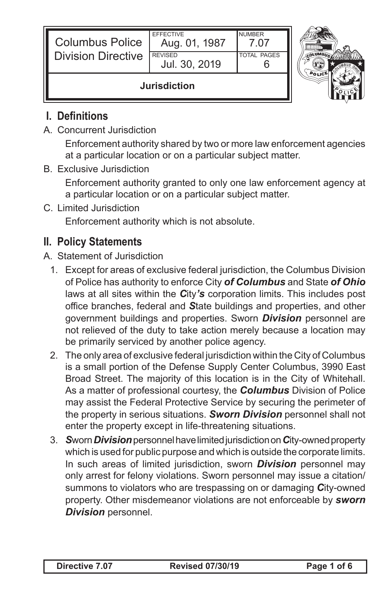| <b>Columbus Police</b><br><b>Division Directive</b> | <b>EFFECTIVE</b><br>Aug. 01, 1987<br><b>REVISED</b><br>Jul. 30, 2019 | <b>NUMBER</b><br>7 N7<br><b>TOTAL PAGES</b> |  |
|-----------------------------------------------------|----------------------------------------------------------------------|---------------------------------------------|--|
| <b>Jurisdiction</b>                                 |                                                                      |                                             |  |

## **I. Definitions**

A. Concurrent Jurisdiction

Enforcement authority shared by two or more law enforcement agencies at a particular location or on a particular subject matter.

B. Exclusive Jurisdiction

Enforcement authority granted to only one law enforcement agency at a particular location or on a particular subject matter.

C. Limited Jurisdiction

Enforcement authority which is not absolute.

## **II. Policy Statements**

- A. Statement of Jurisdiction
	- 1. Except for areas of exclusive federal jurisdiction, the Columbus Division of Police has authority to enforce City *of Columbus* and State *of Ohio* laws at all sites within the *C*ity*'s* corporation limits. This includes post office branches, federal and *S*tate buildings and properties, and other government buildings and properties. Sworn *Division* personnel are not relieved of the duty to take action merely because a location may be primarily serviced by another police agency.
	- 2. The only area of exclusive federal jurisdiction within the City of Columbus is a small portion of the Defense Supply Center Columbus, 3990 East Broad Street. The majority of this location is in the City of Whitehall. As a matter of professional courtesy, the *Columbus* Division of Police may assist the Federal Protective Service by securing the perimeter of the property in serious situations. *Sworn Division* personnel shall not enter the property except in life-threatening situations.
	- 3. *S*worn *Division* personnel have limited jurisdiction on *C*ity-owned property which is used for public purpose and which is outside the corporate limits. In such areas of limited jurisdiction, sworn *Division* personnel may only arrest for felony violations. Sworn personnel may issue a citation/ summons to violators who are trespassing on or damaging *C*ity-owned property. Other misdemeanor violations are not enforceable by *sworn Division* personnel.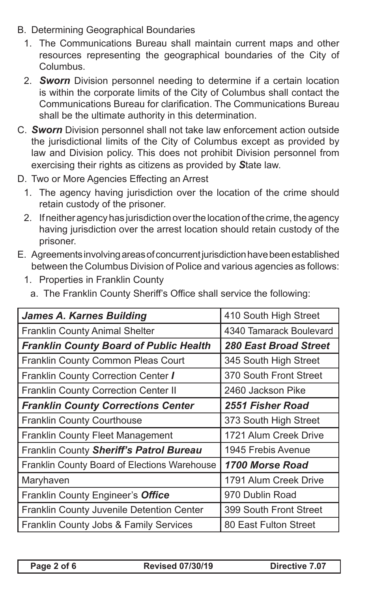- B. Determining Geographical Boundaries
	- 1. The Communications Bureau shall maintain current maps and other resources representing the geographical boundaries of the City of Columbus.
	- 2. *Sworn* Division personnel needing to determine if a certain location is within the corporate limits of the City of Columbus shall contact the Communications Bureau for clarification. The Communications Bureau shall be the ultimate authority in this determination.
- C. *Sworn* Division personnel shall not take law enforcement action outside the jurisdictional limits of the City of Columbus except as provided by law and Division policy. This does not prohibit Division personnel from exercising their rights as citizens as provided by *S*tate law.
- D. Two or More Agencies Effecting an Arrest
	- 1. The agency having jurisdiction over the location of the crime should retain custody of the prisoner.
	- 2. If neither agency has jurisdiction over the location of the crime, the agency having jurisdiction over the arrest location should retain custody of the prisoner.
- E. Agreements involving areas of concurrent jurisdiction have been established between the Columbus Division of Police and various agencies as follows:
	- 1. Properties in Franklin County
		- a. The Franklin County Sheriff's Office shall service the following:

| <b>James A. Karnes Building</b>               | 410 South High Street        |
|-----------------------------------------------|------------------------------|
| <b>Franklin County Animal Shelter</b>         | 4340 Tamarack Boulevard      |
| <b>Franklin County Board of Public Health</b> | <b>280 East Broad Street</b> |
| Franklin County Common Pleas Court            | 345 South High Street        |
| Franklin County Correction Center /           | 370 South Front Street       |
| Franklin County Correction Center II          | 2460 Jackson Pike            |
| <b>Franklin County Corrections Center</b>     | 2551 Fisher Road             |
| <b>Franklin County Courthouse</b>             | 373 South High Street        |
| <b>Franklin County Fleet Management</b>       | 1721 Alum Creek Drive        |
| Franklin County Sheriff's Patrol Bureau       | 1945 Frebis Avenue           |
| Franklin County Board of Elections Warehouse  | 1700 Morse Road              |
| Maryhaven                                     | 1791 Alum Creek Drive        |
| Franklin County Engineer's Office             | 970 Dublin Road              |
| Franklin County Juvenile Detention Center     | 399 South Front Street       |
| Franklin County Jobs & Family Services        | 80 East Fulton Street        |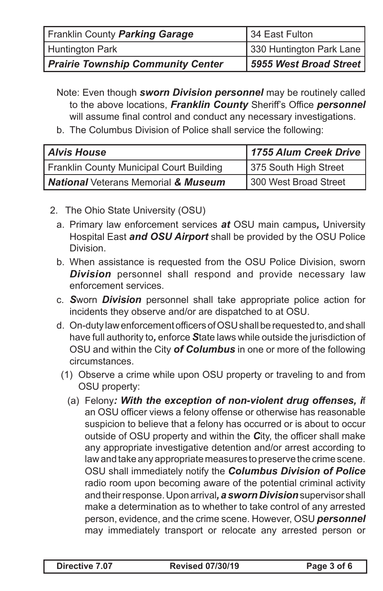| Franklin County Parking Garage           | 34 East Fulton           |  |
|------------------------------------------|--------------------------|--|
| Huntington Park                          | 330 Huntington Park Lane |  |
| <b>Prairie Township Community Center</b> | 5955 West Broad Street   |  |

Note: Even though *sworn Division personnel* may be routinely called to the above locations, *Franklin County* Sheriff's Office *personnel*  will assume final control and conduct any necessary investigations.

b. The Columbus Division of Police shall service the following:

| <b>Alvis House</b>                              | 1755 Alum Creek Drive |  |
|-------------------------------------------------|-----------------------|--|
| <b>Franklin County Municipal Court Building</b> | 375 South High Street |  |
| <b>National Veterans Memorial &amp; Museum</b>  | 300 West Broad Street |  |

- 2. The Ohio State University (OSU)
	- a. Primary law enforcement services *at* OSU main campus*,* University Hospital East *and OSU Airport* shall be provided by the OSU Police Division.
	- b. When assistance is requested from the OSU Police Division, sworn **Division** personnel shall respond and provide necessary law enforcement services.
	- c. *S*worn *Division* personnel shall take appropriate police action for incidents they observe and/or are dispatched to at OSU.
	- d. On-duty law enforcement officers of OSU shall be requested to, and shall have full authority to*,* enforce *S*tate laws while outside the jurisdiction of OSU and within the City *of Columbus* in one or more of the following circumstances.
		- (1) Observe a crime while upon OSU property or traveling to and from OSU property:
			- (a) Felony*: With the exception of non-violent drug offenses, i*f an OSU officer views a felony offense or otherwise has reasonable suspicion to believe that a felony has occurred or is about to occur outside of OSU property and within the *C*ity, the officer shall make any appropriate investigative detention and/or arrest according to law and take any appropriate measures to preserve the crime scene. OSU shall immediately notify the *Columbus Division of Police* radio room upon becoming aware of the potential criminal activity and their response. Upon arrival*,a sworn Division* supervisor shall make a determination as to whether to take control of any arrested person, evidence, and the crime scene. However, OSU *personnel*  may immediately transport or relocate any arrested person or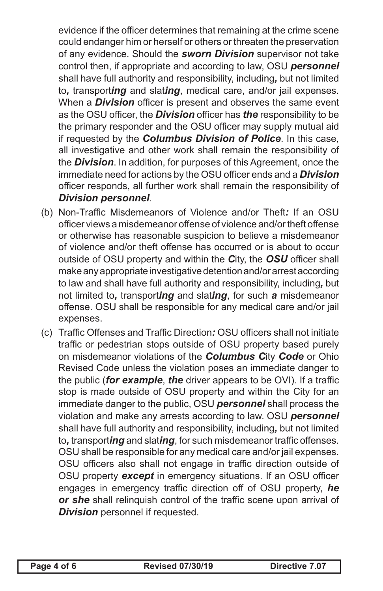evidence if the officer determines that remaining at the crime scene could endanger him or herself or others or threaten the preservation of any evidence. Should the *sworn Division* supervisor not take control then, if appropriate and according to law, OSU *personnel*  shall have full authority and responsibility, including*,* but not limited to*,* transport*ing* and slat*ing*, medical care, and/or jail expenses. When a *Division* officer is present and observes the same event as the OSU officer, the *Division* officer has *the* responsibility to be the primary responder and the OSU officer may supply mutual aid if requested by the *Columbus Division of Police*. In this case, all investigative and other work shall remain the responsibility of the *Division*. In addition, for purposes of this Agreement, once the immediate need for actions by the OSU officer ends and a *Division* officer responds, all further work shall remain the responsibility of *Division personnel*.

- (b) Non-Traffic Misdemeanors of Violence and/or Theft*:* If an OSU officer views a misdemeanor offense of violence and/or theft offense or otherwise has reasonable suspicion to believe a misdemeanor of violence and/or theft offense has occurred or is about to occur outside of OSU property and within the *C*ity, the *OSU* officer shall make any appropriate investigative detention and/or arrest according to law and shall have full authority and responsibility, including*,* but not limited to*,* transport*ing* and slat*ing*, for such *a* misdemeanor offense. OSU shall be responsible for any medical care and/or jail expenses.
- (c) Traffic Offenses and Traffic Direction*:* OSU officers shall not initiate traffic or pedestrian stops outside of OSU property based purely on misdemeanor violations of the *Columbus C*ity *Code* or Ohio Revised Code unless the violation poses an immediate danger to the public (*for example*, *the* driver appears to be OVI). If a traffic stop is made outside of OSU property and within the City for an immediate danger to the public, OSU *personnel* shall process the violation and make any arrests according to law. OSU *personnel*  shall have full authority and responsibility, including*,* but not limited to*,* transport*ing* and slat*ing*, for such misdemeanor traffic offenses. OSU shall be responsible for any medical care and/or jail expenses. OSU officers also shall not engage in traffic direction outside of OSU property *except* in emergency situations. If an OSU officer engages in emergency traffic direction off of OSU property, *he or she* shall relinquish control of the traffic scene upon arrival of *Division* personnel if requested.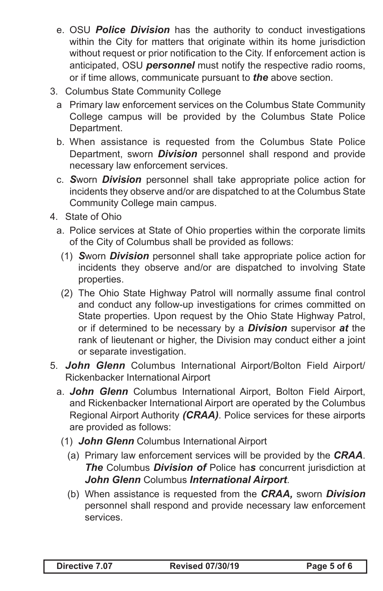- e. OSU *Police Division* has the authority to conduct investigations within the City for matters that originate within its home jurisdiction without request or prior notification to the City. If enforcement action is anticipated, OSU *personnel* must notify the respective radio rooms, or if time allows, communicate pursuant to *the* above section.
- 3. Columbus State Community College
	- a Primary law enforcement services on the Columbus State Community College campus will be provided by the Columbus State Police Department.
	- b. When assistance is requested from the Columbus State Police Department, sworn *Division* personnel shall respond and provide necessary law enforcement services.
	- c. *S*worn *Division* personnel shall take appropriate police action for incidents they observe and/or are dispatched to at the Columbus State Community College main campus.
- 4. State of Ohio
	- a. Police services at State of Ohio properties within the corporate limits of the City of Columbus shall be provided as follows:
		- (1) *S*worn *Division* personnel shall take appropriate police action for incidents they observe and/or are dispatched to involving State properties.
		- (2) The Ohio State Highway Patrol will normally assume final control and conduct any follow-up investigations for crimes committed on State properties. Upon request by the Ohio State Highway Patrol, or if determined to be necessary by a *Division* supervisor *at* the rank of lieutenant or higher, the Division may conduct either a joint or separate investigation.
- 5. *John Glenn* Columbus International Airport/Bolton Field Airport/ Rickenbacker International Airport
	- a. *John Glenn* Columbus International Airport, Bolton Field Airport, and Rickenbacker International Airport are operated by the Columbus Regional Airport Authority *(CRAA)*. Police services for these airports are provided as follows:
		- (1) *John Glenn* Columbus International Airport
			- (a) Primary law enforcement services will be provided by the *CRAA*. *The* Columbus *Division of* Police ha*s* concurrent jurisdiction at *John Glenn* Columbus *International Airport*.
			- (b) When assistance is requested from the *CRAA,* sworn *Division*  personnel shall respond and provide necessary law enforcement services.